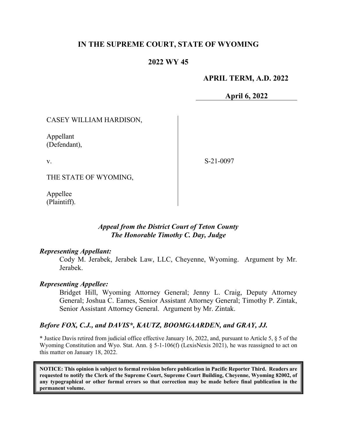# **IN THE SUPREME COURT, STATE OF WYOMING**

# **2022 WY 45**

# **APRIL TERM, A.D. 2022**

**April 6, 2022**

### CASEY WILLIAM HARDISON,

Appellant (Defendant),

v.

S-21-0097

THE STATE OF WYOMING,

Appellee (Plaintiff).

## *Appeal from the District Court of Teton County The Honorable Timothy C. Day, Judge*

### *Representing Appellant:*

Cody M. Jerabek, Jerabek Law, LLC, Cheyenne, Wyoming. Argument by Mr. Jerabek.

### *Representing Appellee:*

Bridget Hill, Wyoming Attorney General; Jenny L. Craig, Deputy Attorney General; Joshua C. Eames, Senior Assistant Attorney General; Timothy P. Zintak, Senior Assistant Attorney General. Argument by Mr. Zintak.

### *Before FOX, C.J., and DAVIS\*, KAUTZ, BOOMGAARDEN, and GRAY, JJ.*

\* Justice Davis retired from judicial office effective January 16, 2022, and, pursuant to Article 5, § 5 of the Wyoming Constitution and Wyo. Stat. Ann. § 5-1-106(f) (LexisNexis 2021), he was reassigned to act on this matter on January 18, 2022.

**NOTICE: This opinion is subject to formal revision before publication in Pacific Reporter Third. Readers are requested to notify the Clerk of the Supreme Court, Supreme Court Building, Cheyenne, Wyoming 82002, of any typographical or other formal errors so that correction may be made before final publication in the permanent volume.**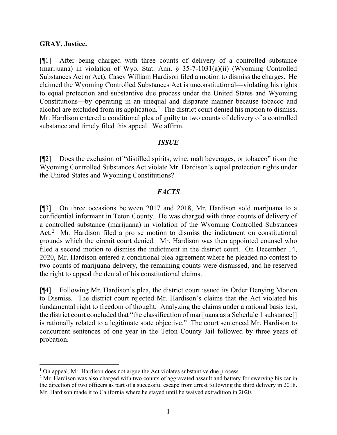### **GRAY, Justice.**

[¶1] After being charged with three counts of delivery of a controlled substance (marijuana) in violation of Wyo. Stat. Ann. § 35-7-1031(a)(ii) (Wyoming Controlled Substances Act or Act), Casey William Hardison filed a motion to dismiss the charges. He claimed the Wyoming Controlled Substances Act is unconstitutional—violating his rights to equal protection and substantive due process under the United States and Wyoming Constitutions—by operating in an unequal and disparate manner because tobacco and alcohol are excluded from its application.<sup>[1](#page-1-0)</sup> The district court denied his motion to dismiss. Mr. Hardison entered a conditional plea of guilty to two counts of delivery of a controlled substance and timely filed this appeal. We affirm.

### *ISSUE*

[¶2] Does the exclusion of "distilled spirits, wine, malt beverages, or tobacco" from the Wyoming Controlled Substances Act violate Mr. Hardison's equal protection rights under the United States and Wyoming Constitutions?

### *FACTS*

[¶3] On three occasions between 2017 and 2018, Mr. Hardison sold marijuana to a confidential informant in Teton County. He was charged with three counts of delivery of a controlled substance (marijuana) in violation of the Wyoming Controlled Substances Act.<sup>[2](#page-1-1)</sup> Mr. Hardison filed a pro se motion to dismiss the indictment on constitutional grounds which the circuit court denied. Mr. Hardison was then appointed counsel who filed a second motion to dismiss the indictment in the district court. On December 14, 2020, Mr. Hardison entered a conditional plea agreement where he pleaded no contest to two counts of marijuana delivery, the remaining counts were dismissed, and he reserved the right to appeal the denial of his constitutional claims.

[¶4] Following Mr. Hardison's plea, the district court issued its Order Denying Motion to Dismiss. The district court rejected Mr. Hardison's claims that the Act violated his fundamental right to freedom of thought. Analyzing the claims under a rational basis test, the district court concluded that "the classification of marijuana as a Schedule 1 substance[] is rationally related to a legitimate state objective." The court sentenced Mr. Hardison to concurrent sentences of one year in the Teton County Jail followed by three years of probation.

<span id="page-1-0"></span><sup>&</sup>lt;sup>1</sup> On appeal, Mr. Hardison does not argue the Act violates substantive due process.

<span id="page-1-1"></span><sup>&</sup>lt;sup>2</sup> Mr. Hardison was also charged with two counts of aggravated assault and battery for swerving his car in the direction of two officers as part of a successful escape from arrest following the third delivery in 2018. Mr. Hardison made it to California where he stayed until he waived extradition in 2020.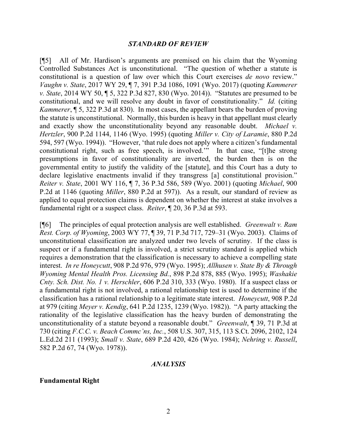#### *STANDARD OF REVIEW*

[¶5] All of Mr. Hardison's arguments are premised on his claim that the Wyoming Controlled Substances Act is unconstitutional. "The question of whether a statute is constitutional is a question of law over which this Court exercises *de novo* review." *Vaughn v. State*, 2017 WY 29, ¶ 7, 391 P.3d 1086, 1091 (Wyo. 2017) (quoting *Kammerer v. State*, 2014 WY 50, ¶ 5, 322 P.3d 827, 830 (Wyo. 2014)). "Statutes are presumed to be constitutional, and we will resolve any doubt in favor of constitutionality." *Id.* (citing *Kammerer*, ¶ 5, 322 P.3d at 830). In most cases, the appellant bears the burden of proving the statute is unconstitutional. Normally, this burden is heavy in that appellant must clearly and exactly show the unconstitutionality beyond any reasonable doubt. *Michael v. Hertzler*, 900 P.2d 1144, 1146 (Wyo. 1995) (quoting *Miller v. City of Laramie*, 880 P.2d 594, 597 (Wyo. 1994)). "However, 'that rule does not apply where a citizen's fundamental constitutional right, such as free speech, is involved.'" In that case, "[t]he strong presumptions in favor of constitutionality are inverted, the burden then is on the governmental entity to justify the validity of the [statute], and this Court has a duty to declare legislative enactments invalid if they transgress [a] constitutional provision." *Reiter v. State*, 2001 WY 116, ¶ 7, 36 P.3d 586, 589 (Wyo. 2001) (quoting *Michael*, 900 P.2d at 1146 (quoting *Miller*, 880 P.2d at 597)). As a result, our standard of review as applied to equal protection claims is dependent on whether the interest at stake involves a fundamental right or a suspect class. *Reiter*, ¶ 20, 36 P.3d at 593.

[¶6] The principles of equal protection analysis are well established. *Greenwalt v. Ram Rest. Corp. of Wyoming*, 2003 WY 77, ¶ 39, 71 P.3d 717, 729–31 (Wyo. 2003). Claims of unconstitutional classification are analyzed under two levels of scrutiny. If the class is suspect or if a fundamental right is involved, a strict scrutiny standard is applied which requires a demonstration that the classification is necessary to achieve a compelling state interest. *In re Honeycutt*, 908 P.2d 976, 979 (Wyo. 1995); *Allhusen v. State By & Through Wyoming Mental Health Pros. Licensing Bd.*, 898 P.2d 878, 885 (Wyo. 1995); *Washakie Cnty. Sch. Dist. No. 1 v. Herschler*, 606 P.2d 310, 333 (Wyo. 1980). If a suspect class or a fundamental right is not involved, a rational relationship test is used to determine if the classification has a rational relationship to a legitimate state interest. *Honeycutt*, 908 P.2d at 979 (citing *Meyer v. Kendig*, 641 P.2d 1235, 1239 (Wyo. 1982)). "A party attacking the rationality of the legislative classification has the heavy burden of demonstrating the unconstitutionality of a statute beyond a reasonable doubt." *Greenwalt*, ¶ 39, 71 P.3d at 730 (citing *F.C.C. v. Beach Commc'ns, Inc.*, 508 U.S. 307, 315, 113 S.Ct. 2096, 2102, 124 L.Ed.2d 211 (1993); *Small v. State*, 689 P.2d 420, 426 (Wyo. 1984); *Nehring v. Russell*, 582 P.2d 67, 74 (Wyo. 1978)).

#### *ANALYSIS*

#### **Fundamental Right**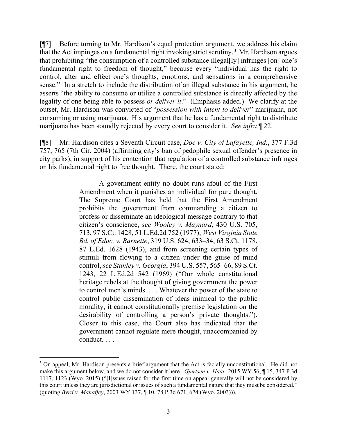[¶7] Before turning to Mr. Hardison's equal protection argument, we address his claim that the Act impinges on a fundamental right invoking strict scrutiny.<sup>[3](#page-3-0)</sup> Mr. Hardison argues that prohibiting "the consumption of a controlled substance illegal[ly] infringes [on] one's fundamental right to freedom of thought," because every "individual has the right to control, alter and effect one's thoughts, emotions, and sensations in a comprehensive sense." In a stretch to include the distribution of an illegal substance in his argument, he asserts "the ability to consume or utilize a controlled substance is directly affected by the legality of one being able to possess *or deliver it*." (Emphasis added.) We clarify at the outset, Mr. Hardison was convicted of "*possession with intent to deliver*" marijuana, not consuming or using marijuana. His argument that he has a fundamental right to distribute marijuana has been soundly rejected by every court to consider it. *See infra* ¶ 22.

[¶8] Mr. Hardison cites a Seventh Circuit case, *Doe v. City of Lafayette, Ind.*, 377 F.3d 757, 765 (7th Cir. 2004) (affirming city's ban of pedophile sexual offender's presence in city parks), in support of his contention that regulation of a controlled substance infringes on his fundamental right to free thought. There, the court stated:

> A government entity no doubt runs afoul of the First Amendment when it punishes an individual for pure thought. The Supreme Court has held that the First Amendment prohibits the government from commanding a citizen to profess or disseminate an ideological message contrary to that citizen's conscience, *see Wooley v. Maynard*, 430 U.S. 705, 713, 97 S.Ct. 1428, 51 L.Ed.2d 752 (1977); *West Virginia State Bd. of Educ. v. Barnette*, 319 U.S. 624, 633–34, 63 S.Ct. 1178, 87 L.Ed. 1628 (1943), and from screening certain types of stimuli from flowing to a citizen under the guise of mind control, *see Stanley v. Georgia*, 394 U.S. 557, 565–66, 89 S.Ct. 1243, 22 L.Ed.2d 542 (1969) ("Our whole constitutional heritage rebels at the thought of giving government the power to control men's minds. . . . Whatever the power of the state to control public dissemination of ideas inimical to the public morality, it cannot constitutionally premise legislation on the desirability of controlling a person's private thoughts."). Closer to this case, the Court also has indicated that the government cannot regulate mere thought, unaccompanied by conduct. . . .

<span id="page-3-0"></span><sup>&</sup>lt;sup>3</sup> On appeal, Mr. Hardison presents a brief argument that the Act is facially unconstitutional. He did not make this argument below, and we do not consider it here. *Gjertsen v. Haar*, 2015 WY 56, ¶ 15, 347 P.3d 1117, 1123 (Wyo. 2015) ("[I]ssues raised for the first time on appeal generally will not be considered by this court unless they are jurisdictional or issues of such a fundamental nature that they must be considered." (quoting *Byrd v. Mahaffey*, 2003 WY 137, ¶ 10, 78 P.3d 671, 674 (Wyo. 2003))).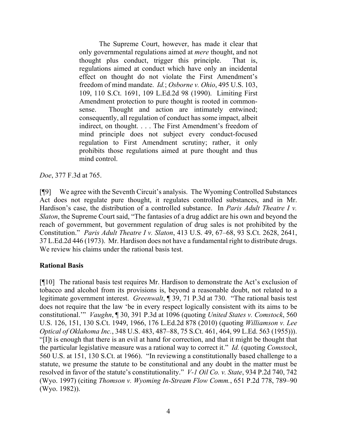The Supreme Court, however, has made it clear that only governmental regulations aimed at *mere* thought, and not thought plus conduct, trigger this principle. That is, regulations aimed at conduct which have only an incidental effect on thought do not violate the First Amendment's freedom of mind mandate. *Id.*; *Osborne v. Ohio*, 495 U.S. 103, 109, 110 S.Ct. 1691, 109 L.Ed.2d 98 (1990). Limiting First Amendment protection to pure thought is rooted in commonsense. Thought and action are intimately entwined; consequently, all regulation of conduct has some impact, albeit indirect, on thought. . . . The First Amendment's freedom of mind principle does not subject every conduct-focused regulation to First Amendment scrutiny; rather, it only prohibits those regulations aimed at pure thought and thus mind control.

*Doe*, 377 F.3d at 765.

[¶9] We agree with the Seventh Circuit's analysis. The Wyoming Controlled Substances Act does not regulate pure thought, it regulates controlled substances, and in Mr. Hardison's case, the distribution of a controlled substance. In *Paris Adult Theatre I v. Slaton*, the Supreme Court said, "The fantasies of a drug addict are his own and beyond the reach of government, but government regulation of drug sales is not prohibited by the Constitution." *Paris Adult Theatre I v. Slaton*, 413 U.S. 49, 67–68, 93 S.Ct. 2628, 2641, 37 L.Ed.2d 446 (1973). Mr. Hardison does not have a fundamental right to distribute drugs. We review his claims under the rational basis test.

# **Rational Basis**

[¶10] The rational basis test requires Mr. Hardison to demonstrate the Act's exclusion of tobacco and alcohol from its provisions is, beyond a reasonable doubt, not related to a legitimate government interest. *Greenwalt*, ¶ 39, 71 P.3d at 730. "The rational basis test does not require that the law 'be in every respect logically consistent with its aims to be constitutional.'" *Vaughn*, ¶ 30, 391 P.3d at 1096 (quoting *United States v. Comstock*, 560 U.S. 126, 151, 130 S.Ct. 1949, 1966, 176 L.Ed.2d 878 (2010) (quoting *Williamson v. Lee Optical of Oklahoma Inc.*, 348 U.S. 483, 487–88, 75 S.Ct. 461, 464, 99 L.Ed. 563 (1955))). "[I]t is enough that there is an evil at hand for correction, and that it might be thought that the particular legislative measure was a rational way to correct it." *Id.* (quoting *Comstock*, 560 U.S. at 151, 130 S.Ct. at 1966). "In reviewing a constitutionally based challenge to a statute, we presume the statute to be constitutional and any doubt in the matter must be resolved in favor of the statute's constitutionality." *V-1 Oil Co. v. State*, 934 P.2d 740, 742 (Wyo. 1997) (citing *Thomson v. Wyoming In-Stream Flow Comm.*, 651 P.2d 778, 789–90 (Wyo. 1982)).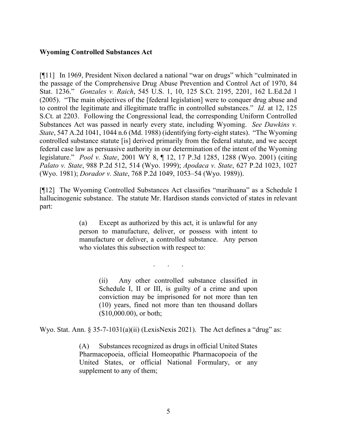# **Wyoming Controlled Substances Act**

[¶11] In 1969, President Nixon declared a national "war on drugs" which "culminated in the passage of the Comprehensive Drug Abuse Prevention and Control Act of 1970, 84 Stat. 1236." *Gonzales v. Raich*, 545 U.S. 1, 10, 125 S.Ct. 2195, 2201, 162 L.Ed.2d 1 (2005). "The main objectives of the [federal legislation] were to conquer drug abuse and to control the legitimate and illegitimate traffic in controlled substances." *Id.* at 12, 125 S.Ct. at 2203. Following the Congressional lead, the corresponding Uniform Controlled Substances Act was passed in nearly every state, including Wyoming. *See Dawkins v. State*, 547 A.2d 1041, 1044 n.6 (Md. 1988) (identifying forty-eight states). "The Wyoming controlled substance statute [is] derived primarily from the federal statute, and we accept federal case law as persuasive authority in our determination of the intent of the Wyoming legislature." *Pool v. State*, 2001 WY 8, ¶ 12, 17 P.3d 1285, 1288 (Wyo. 2001) (citing *Palato v. State*, 988 P.2d 512, 514 (Wyo. 1999); *Apodaca v. State*, 627 P.2d 1023, 1027 (Wyo. 1981); *Dorador v. State*, 768 P.2d 1049, 1053–54 (Wyo. 1989)).

[¶12] The Wyoming Controlled Substances Act classifies "marihuana" as a Schedule I hallucinogenic substance. The statute Mr. Hardison stands convicted of states in relevant part:

> (a) Except as authorized by this act, it is unlawful for any person to manufacture, deliver, or possess with intent to manufacture or deliver, a controlled substance. Any person who violates this subsection with respect to:

> > . . .

(ii) Any other controlled substance classified in Schedule I, II or III, is guilty of a crime and upon conviction may be imprisoned for not more than ten (10) years, fined not more than ten thousand dollars (\$10,000.00), or both;

Wyo. Stat. Ann.  $\S 35-7-1031(a)(ii)$  (LexisNexis 2021). The Act defines a "drug" as:

(A) Substances recognized as drugs in official United States Pharmacopoeia, official Homeopathic Pharmacopoeia of the United States, or official National Formulary, or any supplement to any of them;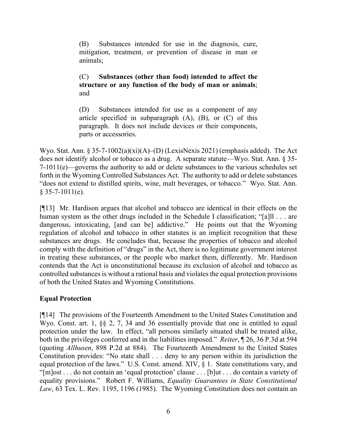(B) Substances intended for use in the diagnosis, cure, mitigation, treatment, or prevention of disease in man or animals;

# (C) **Substances (other than food) intended to affect the structure or any function of the body of man or animals**; and

(D) Substances intended for use as a component of any article specified in subparagraph  $(A)$ ,  $(B)$ , or  $(C)$  of this paragraph. It does not include devices or their components, parts or accessories.

Wyo. Stat. Ann. § 35-7-1002(a)(xi)(A)–(D) (LexisNexis 2021) (emphasis added). The Act does not identify alcohol or tobacco as a drug. A separate statute—Wyo. Stat. Ann. § 35- 7-1011(e)—governs the authority to add or delete substances to the various schedules set forth in the Wyoming Controlled Substances Act. The authority to add or delete substances "does not extend to distilled spirits, wine, malt beverages, or tobacco." Wyo. Stat. Ann.  $§$  35-7-1011(e).

[¶13] Mr. Hardison argues that alcohol and tobacco are identical in their effects on the human system as the other drugs included in the Schedule I classification; "[a]ll . . . are dangerous, intoxicating, [and can be] addictive." He points out that the Wyoming regulation of alcohol and tobacco in other statutes is an implicit recognition that these substances are drugs. He concludes that, because the properties of tobacco and alcohol comply with the definition of "drugs" in the Act, there is no legitimate government interest in treating these substances, or the people who market them, differently. Mr. Hardison contends that the Act is unconstitutional because its exclusion of alcohol and tobacco as controlled substances is without a rational basis and violates the equal protection provisions of both the United States and Wyoming Constitutions.

# **Equal Protection**

[¶14] The provisions of the Fourteenth Amendment to the United States Constitution and Wyo. Const. art. 1, §§ 2, 7, 34 and 36 essentially provide that one is entitled to equal protection under the law. In effect, "all persons similarly situated shall be treated alike, both in the privileges conferred and in the liabilities imposed." *Reiter*, ¶ 26, 36 P.3d at 594 (quoting *Allhusen*, 898 P.2d at 884). The Fourteenth Amendment to the United States Constitution provides: "No state shall . . . deny to any person within its jurisdiction the equal protection of the laws." U.S. Const. amend. XIV, § 1. State constitutions vary, and "[m]ost . . . do not contain an 'equal protection' clause . . . [b]ut . . . do contain a variety of equality provisions." Robert F. Williams, *Equality Guarantees in State Constitutional Law*, 63 Tex. L. Rev. 1195, 1196 (1985). The Wyoming Constitution does not contain an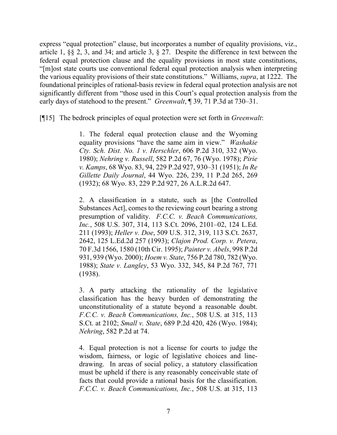express "equal protection" clause, but incorporates a number of equality provisions, viz., article 1, §§ 2, 3, and 34; and article 3, § 27. Despite the difference in text between the federal equal protection clause and the equality provisions in most state constitutions, "[m]ost state courts use conventional federal equal protection analysis when interpreting the various equality provisions of their state constitutions." Williams, *supra*, at 1222. The foundational principles of rational-basis review in federal equal protection analysis are not significantly different from "those used in this Court's equal protection analysis from the early days of statehood to the present." *Greenwalt*, ¶ 39, 71 P.3d at 730–31.

[¶15] The bedrock principles of equal protection were set forth in *Greenwalt*:

1. The federal equal protection clause and the Wyoming equality provisions "have the same aim in view." *Washakie Cty. Sch. Dist. No. 1 v. Herschler*, 606 P.2d 310, 332 (Wyo. 1980); *Nehring v. Russell*, 582 P.2d 67, 76 (Wyo. 1978); *Pirie v. Kamps*, 68 Wyo. 83, 94, 229 P.2d 927, 930–31 (1951); *In Re Gillette Daily Journal*, 44 Wyo. 226, 239, 11 P.2d 265, 269 (1932); 68 Wyo. 83, 229 P.2d 927, 26 A.L.R.2d 647.

2. A classification in a statute, such as [the Controlled Substances Act], comes to the reviewing court bearing a strong presumption of validity. *F.C.C. v. Beach Communications, Inc.*, 508 U.S. 307, 314, 113 S.Ct. 2096, 2101–02, 124 L.Ed. 211 (1993); *Heller v. Doe*, 509 U.S. 312, 319, 113 S.Ct. 2637, 2642, 125 L.Ed.2d 257 (1993); *Clajon Prod. Corp. v. Petera*, 70 F.3d 1566, 1580 (10th Cir. 1995); *Painter v. Abels*, 998 P.2d 931, 939 (Wyo. 2000); *Hoem v. State*, 756 P.2d 780, 782 (Wyo. 1988); *State v. Langley*, 53 Wyo. 332, 345, 84 P.2d 767, 771 (1938).

3. A party attacking the rationality of the legislative classification has the heavy burden of demonstrating the unconstitutionality of a statute beyond a reasonable doubt. *F.C.C. v. Beach Communications, Inc.*, 508 U.S. at 315, 113 S.Ct. at 2102; *Small v. State*, 689 P.2d 420, 426 (Wyo. 1984); *Nehring*, 582 P.2d at 74.

4. Equal protection is not a license for courts to judge the wisdom, fairness, or logic of legislative choices and linedrawing. In areas of social policy, a statutory classification must be upheld if there is any reasonably conceivable state of facts that could provide a rational basis for the classification. *F.C.C. v. Beach Communications, Inc.*, 508 U.S. at 315, 113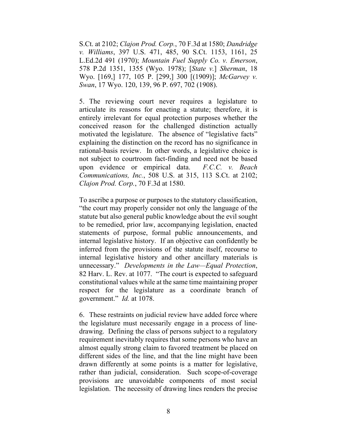S.Ct. at 2102; *Clajon Prod. Corp.*, 70 F.3d at 1580; *Dandridge v. Williams*, 397 U.S. 471, 485, 90 S.Ct. 1153, 1161, 25 L.Ed.2d 491 (1970); *Mountain Fuel Supply Co. v. Emerson*, 578 P.2d 1351, 1355 (Wyo. 1978); [*State v.*] *Sherman*, 18 Wyo. [169,] 177, 105 P. [299,] 300 [(1909)]; *McGarvey v. Swan*, 17 Wyo. 120, 139, 96 P. 697, 702 (1908).

5. The reviewing court never requires a legislature to articulate its reasons for enacting a statute; therefore, it is entirely irrelevant for equal protection purposes whether the conceived reason for the challenged distinction actually motivated the legislature. The absence of "legislative facts" explaining the distinction on the record has no significance in rational-basis review. In other words, a legislative choice is not subject to courtroom fact-finding and need not be based upon evidence or empirical data. *F.C.C. v. Beach Communications, Inc.*, 508 U.S. at 315, 113 S.Ct. at 2102; *Clajon Prod. Corp.*, 70 F.3d at 1580.

To ascribe a purpose or purposes to the statutory classification, "the court may properly consider not only the language of the statute but also general public knowledge about the evil sought to be remedied, prior law, accompanying legislation, enacted statements of purpose, formal public announcements, and internal legislative history. If an objective can confidently be inferred from the provisions of the statute itself, recourse to internal legislative history and other ancillary materials is unnecessary." *Developments in the Law—Equal Protection*, 82 Harv. L. Rev. at 1077. "The court is expected to safeguard constitutional values while at the same time maintaining proper respect for the legislature as a coordinate branch of government." *Id.* at 1078.

6. These restraints on judicial review have added force where the legislature must necessarily engage in a process of linedrawing. Defining the class of persons subject to a regulatory requirement inevitably requires that some persons who have an almost equally strong claim to favored treatment be placed on different sides of the line, and that the line might have been drawn differently at some points is a matter for legislative, rather than judicial, consideration. Such scope-of-coverage provisions are unavoidable components of most social legislation. The necessity of drawing lines renders the precise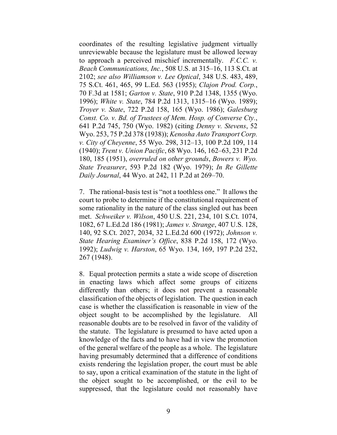coordinates of the resulting legislative judgment virtually unreviewable because the legislature must be allowed leeway to approach a perceived mischief incrementally. *F.C.C. v. Beach Communications, Inc.*, 508 U.S. at 315–16, 113 S.Ct. at 2102; *see also Williamson v. Lee Optical*, 348 U.S. 483, 489, 75 S.Ct. 461, 465, 99 L.Ed. 563 (1955); *Clajon Prod. Corp.*, 70 F.3d at 1581; *Garton v. State*, 910 P.2d 1348, 1355 (Wyo. 1996); *White v. State*, 784 P.2d 1313, 1315–16 (Wyo. 1989); *Troyer v. State*, 722 P.2d 158, 165 (Wyo. 1986); *Galesburg Const. Co. v. Bd. of Trustees of Mem. Hosp. of Converse Cty.*, 641 P.2d 745, 750 (Wyo. 1982) (citing *Denny v. Stevens*, 52 Wyo. 253, 75 P.2d 378 (1938)); *Kenosha Auto Transport Corp. v. City of Cheyenne*, 55 Wyo. 298, 312–13, 100 P.2d 109, 114 (1940); *Trent v. Union Pacific*, 68 Wyo. 146, 162–63, 231 P.2d 180, 185 (1951), *overruled on other grounds*, *Bowers v. Wyo. State Treasurer*, 593 P.2d 182 (Wyo. 1979); *In Re Gillette Daily Journal*, 44 Wyo. at 242, 11 P.2d at 269–70.

7. The rational-basis test is "not a toothless one." It allows the court to probe to determine if the constitutional requirement of some rationality in the nature of the class singled out has been met. *Schweiker v. Wilson*, 450 U.S. 221, 234, 101 S.Ct. 1074, 1082, 67 L.Ed.2d 186 (1981); *James v. Strange*, 407 U.S. 128, 140, 92 S.Ct. 2027, 2034, 32 L.Ed.2d 600 (1972); *Johnson v. State Hearing Examiner's Office*, 838 P.2d 158, 172 (Wyo. 1992); *Ludwig v. Harston*, 65 Wyo. 134, 169, 197 P.2d 252, 267 (1948).

8. Equal protection permits a state a wide scope of discretion in enacting laws which affect some groups of citizens differently than others; it does not prevent a reasonable classification of the objects of legislation. The question in each case is whether the classification is reasonable in view of the object sought to be accomplished by the legislature. All reasonable doubts are to be resolved in favor of the validity of the statute. The legislature is presumed to have acted upon a knowledge of the facts and to have had in view the promotion of the general welfare of the people as a whole. The legislature having presumably determined that a difference of conditions exists rendering the legislation proper, the court must be able to say, upon a critical examination of the statute in the light of the object sought to be accomplished, or the evil to be suppressed, that the legislature could not reasonably have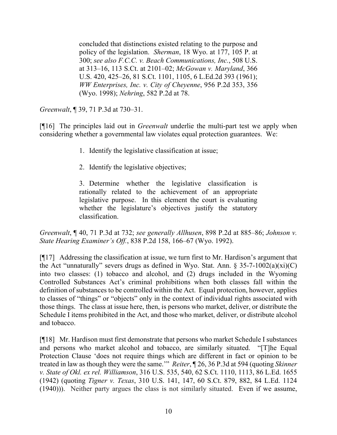concluded that distinctions existed relating to the purpose and policy of the legislation. *Sherman*, 18 Wyo. at 177, 105 P. at 300; *see also F.C.C. v. Beach Communications, Inc.*, 508 U.S. at 313–16, 113 S.Ct. at 2101–02; *McGowan v. Maryland*, 366 U.S. 420, 425–26, 81 S.Ct. 1101, 1105, 6 L.Ed.2d 393 (1961); *WW Enterprises, Inc. v. City of Cheyenne*, 956 P.2d 353, 356 (Wyo. 1998); *Nehring*, 582 P.2d at 78.

*Greenwalt*, ¶ 39, 71 P.3d at 730–31.

[¶16] The principles laid out in *Greenwalt* underlie the multi-part test we apply when considering whether a governmental law violates equal protection guarantees. We:

- 1. Identify the legislative classification at issue;
- 2. Identify the legislative objectives;

3. Determine whether the legislative classification is rationally related to the achievement of an appropriate legislative purpose. In this element the court is evaluating whether the legislature's objectives justify the statutory classification.

*Greenwalt*, ¶ 40, 71 P.3d at 732; *see generally Allhusen*, 898 P.2d at 885–86; *Johnson v. State Hearing Examiner's Off.*, 838 P.2d 158, 166–67 (Wyo. 1992).

[¶17] Addressing the classification at issue, we turn first to Mr. Hardison's argument that the Act "unnaturally" severs drugs as defined in Wyo. Stat. Ann.  $\S$  35-7-1002(a)(xi)(C) into two classes: (1) tobacco and alcohol, and (2) drugs included in the Wyoming Controlled Substances Act's criminal prohibitions when both classes fall within the definition of substances to be controlled within the Act. Equal protection, however, applies to classes of "things" or "objects" only in the context of individual rights associated with those things. The class at issue here, then, is persons who market, deliver, or distribute the Schedule I items prohibited in the Act, and those who market, deliver, or distribute alcohol and tobacco.

[¶18] Mr. Hardison must first demonstrate that persons who market Schedule I substances and persons who market alcohol and tobacco, are similarly situated. "[T]he Equal Protection Clause 'does not require things which are different in fact or opinion to be treated in law as though they were the same.'" *Reiter*, ¶ 26, 36 P.3d at 594 (quoting *Skinner v. State of Okl. ex rel. Williamson*, 316 U.S. 535, 540, 62 S.Ct. 1110, 1113, 86 L.Ed. 1655 (1942) (quoting *Tigner v. Texas*, 310 U.S. 141, 147, 60 S.Ct. 879, 882, 84 L.Ed. 1124 (1940))). Neither party argues the class is not similarly situated. Even if we assume,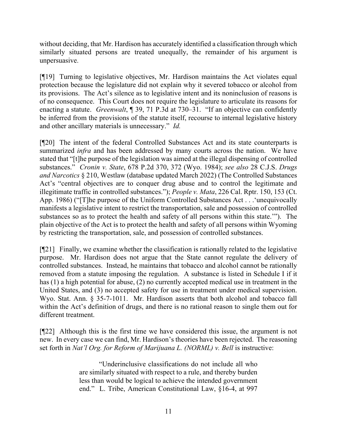without deciding, that Mr. Hardison has accurately identified a classification through which similarly situated persons are treated unequally, the remainder of his argument is unpersuasive.

[¶19] Turning to legislative objectives, Mr. Hardison maintains the Act violates equal protection because the legislature did not explain why it severed tobacco or alcohol from its provisions. The Act's silence as to legislative intent and its noninclusion of reasons is of no consequence. This Court does not require the legislature to articulate its reasons for enacting a statute. *Greenwalt*, ¶ 39, 71 P.3d at 730–31. "If an objective can confidently be inferred from the provisions of the statute itself, recourse to internal legislative history and other ancillary materials is unnecessary." *Id.*

[¶20] The intent of the federal Controlled Substances Act and its state counterparts is summarized *infra* and has been addressed by many courts across the nation. We have stated that "[t]he purpose of the legislation was aimed at the illegal dispensing of controlled substances." *Cronin v. State*, 678 P.2d 370, 372 (Wyo. 1984); *see also* 28 C.J.S. *Drugs and Narcotics* § 210, Westlaw (database updated March 2022) (The Controlled Substances Act's "central objectives are to conquer drug abuse and to control the legitimate and illegitimate traffic in controlled substances."); *People v. Mata*, 226 Cal. Rptr. 150, 153 (Ct. App. 1986) ("[T]he purpose of the Uniform Controlled Substances Act . . .'unequivocally manifests a legislative intent to restrict the transportation, sale and possession of controlled substances so as to protect the health and safety of all persons within this state.'"). The plain objective of the Act is to protect the health and safety of all persons within Wyoming by restricting the transportation, sale, and possession of controlled substances.

[¶21] Finally, we examine whether the classification is rationally related to the legislative purpose. Mr. Hardison does not argue that the State cannot regulate the delivery of controlled substances. Instead, he maintains that tobacco and alcohol cannot be rationally removed from a statute imposing the regulation. A substance is listed in Schedule I if it has (1) a high potential for abuse, (2) no currently accepted medical use in treatment in the United States, and (3) no accepted safety for use in treatment under medical supervision. Wyo. Stat. Ann. § 35-7-1011. Mr. Hardison asserts that both alcohol and tobacco fall within the Act's definition of drugs, and there is no rational reason to single them out for different treatment.

[¶22] Although this is the first time we have considered this issue, the argument is not new. In every case we can find, Mr. Hardison's theories have been rejected. The reasoning set forth in *Nat'l Org. for Reform of Marijuana L. (NORML) v. Bell* is instructive:

> "Underinclusive classifications do not include all who are similarly situated with respect to a rule, and thereby burden less than would be logical to achieve the intended government end." L. Tribe, American Constitutional Law, §16-4, at 997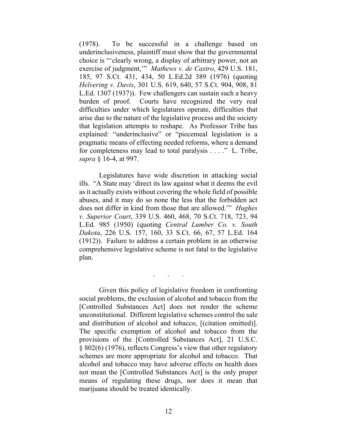(1978). To be successful in a challenge based on underinclusiveness, plaintiff must show that the governmental choice is "'clearly wrong, a display of arbitrary power, not an exercise of judgment,'" *Mathews v. de Castro*, 429 U.S. 181, 185, 97 S.Ct. 431, 434, 50 L.Ed.2d 389 (1976) (quoting *Helvering v. Davis*, 301 U.S. 619, 640, 57 S.Ct. 904, 908, 81 L.Ed. 1307 (1937)). Few challengers can sustain such a heavy burden of proof. Courts have recognized the very real difficulties under which legislatures operate, difficulties that arise due to the nature of the legislative process and the society that legislation attempts to reshape. As Professor Tribe has explained: "underinclusive" or "piecemeal legislation is a pragmatic means of effecting needed reforms, where a demand for completeness may lead to total paralysis . . . ." L. Tribe, *supra* § 16-4, at 997.

Legislatures have wide discretion in attacking social ills. "A State may 'direct its law against what it deems the evil as it actually exists without covering the whole field of possible abuses, and it may do so none the less that the forbidden act does not differ in kind from those that are allowed.'" *Hughes v. Superior Court*, 339 U.S. 460, 468, 70 S.Ct. 718, 723, 94 L.Ed. 985 (1950) (quoting *Central Lumber Co. v. South Dakota*, 226 U.S. 157, 160, 33 S.Ct. 66, 67, 57 L.Ed. 164 (1912)). Failure to address a certain problem in an otherwise comprehensive legislative scheme is not fatal to the legislative plan.

. . .

Given this policy of legislative freedom in confronting social problems, the exclusion of alcohol and tobacco from the [Controlled Substances Act] does not render the scheme unconstitutional. Different legislative schemes control the sale and distribution of alcohol and tobacco, [(citation omitted)]. The specific exemption of alcohol and tobacco from the provisions of the [Controlled Substances Act], 21 U.S.C. § 802(6) (1976), reflects Congress's view that other regulatory schemes are more appropriate for alcohol and tobacco. That alcohol and tobacco may have adverse effects on health does not mean the [Controlled Substances Act] is the only proper means of regulating these drugs, nor does it mean that marijuana should be treated identically.